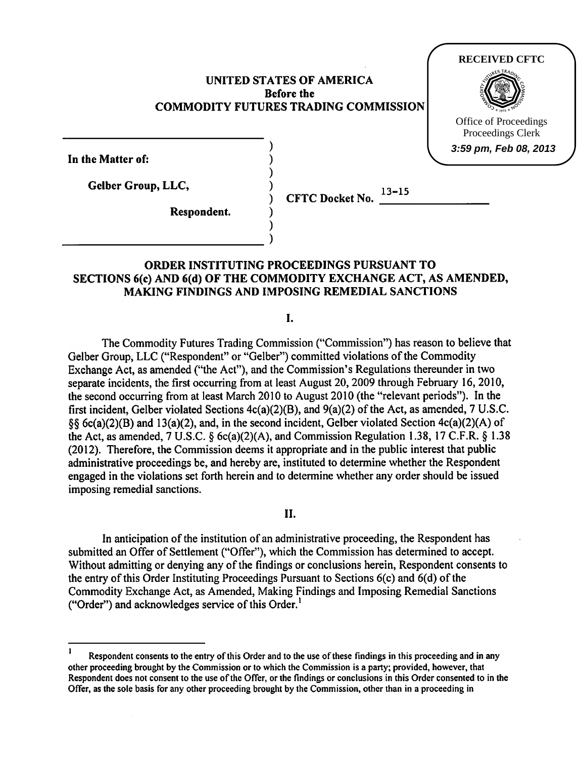## UNITED STATES OF AMERICA Before the COMMODITY FUTURES TRADING COMMISSION



**3:59 pm, Feb 08, 2013**

In the Matter of:

Gelber Group, LLC,

Respondent.

CFTC Docket No.  $13 - 15$ ----------------

# )  $_{\text{}}$ ORDER INSTITUTING PROCEEDINGS PURSUANT TO SECTIONS 6(c) AND 6(d) OF THE COMMODITY EXCHANGE ACT, AS AMENDED,

) ) ) ) ) )

MAKING FINDINGS AND IMPOSING REMEDIAL SANCTIONS

I.

The Commodity Futures Trading Commission ("Commission") has reason to believe that Gelber Group, LLC ("Respondent" or "Gelber") committed violations of the Commodity Exchange Act, as amended ("the Act''), and the Commission's Regulations thereunder in two separate incidents, the first occurring from at least August 20, 2009 through February 16, 2010, the second occurring from at least March 2010 to August 2010 (the "relevant periods"). In the first incident, Gelber violated Sections 4c(a)(2)(B), and 9(a)(2) of the Act, as amended, 7 U.S.C. §§ 6c(a)(2)(B) and 13(a)(2), and, in the second incident, Gelber violated Section 4c(a)(2)(A) of the Act, as amended, 7 U.S.C. § 6c(a)(2)(A), and Commission Regulation 1.38, 17 C.F.R. § 1.38 (2012). Therefore, the Commission deems it appropriate and in the public interest that public administrative proceedings be, and hereby are, instituted to determine whether the Respondent engaged in the violations set forth herein and to determine whether any order should be issued imposing remedial sanctions.

II.

In anticipation of the institution of an administrative proceeding, the Respondent has submitted an Offer of Settlement ("Offer"), which the Commission has determined to accept. Without admitting or denying any of the findings or conclusions herein, Respondent consents to the entry of this Order Instituting Proceedings Pursuant to Sections 6(c) and 6(d) of the Commodity Exchange Act, as Amended, Making Findings and Imposing Remedial Sanctions ("Order") and acknowledges service of this Order. $<sup>1</sup>$ </sup>

Respondent consents to the entry of this Order and to the use of these findings in this proceeding and in any other proceeding brought by the Commission or to which the Commission is a party; provided, however, that Respondent does not consent to the use of the Offer, or the findings or conclusions in this Order consented to in the Offer, as the sole basis for any other proceeding brought by the Commission, other than in a proceeding in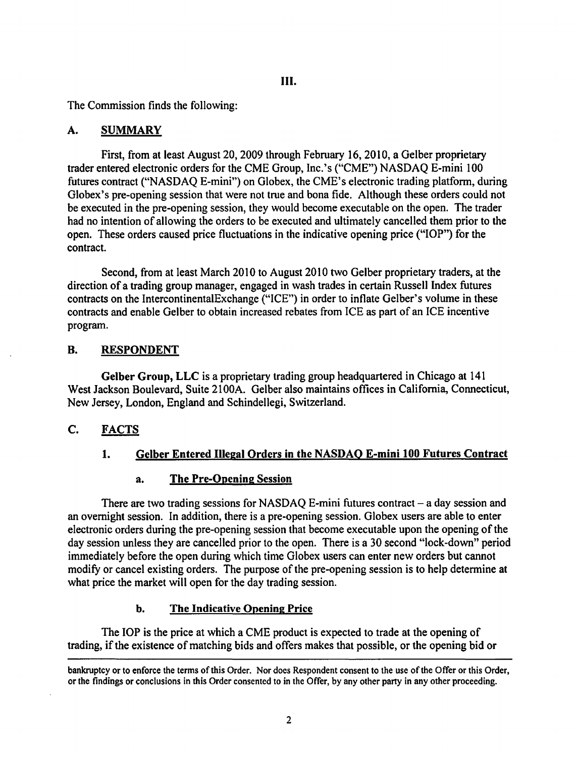## III.

The Commission finds the following:

## A. SUMMARY

First, from at least August 20, 2009 through February 16, 2010, a Gelber proprietary trader entered electronic orders for the CME Group, Inc.'s ("CME") NASDAQ E-mini 100 futures contract ("NASDAQ E-mini") on Globex, the CME's electronic trading platform, during Globex's pre-opening session that were not true and bona fide. Although these orders could not be executed in the pre-opening session, they would become executable on the open. The trader had no intention of allowing the orders to be executed and ultimately cancelled them prior to the open. These orders caused price fluctuations in the indicative opening price ("lOP") for the contract.

Second, from at least March 2010 to August 2010 two Gelber proprietary traders, at the direction of a trading group manager, engaged in wash trades in certain Russell Index futures contracts on the IntercontinentalExchange ("ICE") in order to inflate Gelber's volume in these contracts and enable Gelber to obtain increased rebates from ICE as part of an ICE incentive program.

## B. RESPONDENT

Gelber Group, LLC is a proprietary trading group headquartered in Chicago at 141 West Jackson Boulevard, Suite 2100A. Gelber also maintains offices in California, Connecticut, New Jersey, London, England and Schindellegi, Switzerland.

# C. FACTS

# 1. Gelber Entered Illegal Orders in the NASDAQ E-mini 100 Futures Contract

## a. The Pre-Opening Session

There are two trading sessions for NASDAQ E-mini futures contract  $-$  a day session and an overnight session. In addition, there is a pre-opening session. Globex users are able to enter electronic orders during the pre-opening session that become executable upon the opening of the day session unless they are cancelled prior to the open. There is a 30 second "lock-down" period immediately before the open during which time Globex users can enter new orders but cannot modify or cancel existing orders. The purpose of the pre-opening session is to help determine at what price the market will open for the day trading session.

## b. The Indicative Opening Price

The IOP is the price at which a CME product is expected to trade at the opening of trading, if the existence of matching bids and offers makes that possible, or the opening bid or

bankruptcy or to enforce the terms of this Order. Nor does Respondent consent to the use of the Offer or this Order, or the findings or conclusions in this Order consented to in the Offer, by any other party in any other proceeding.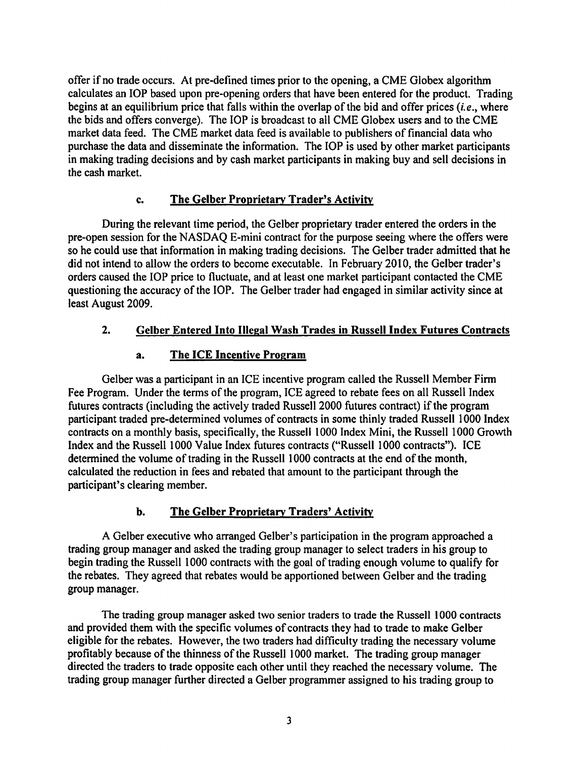offer if no trade occurs. At pre-defined times prior to the opening, a CME Globex algorithm calculates an lOP based upon pre-opening orders that have been entered for the product. Trading begins at an equilibrium price that falls within the overlap of the bid and offer prices *(i.e.,* where the bids and offers converge). The lOP is broadcast to all CME Globex users and to the CME market data feed. The CME market data feed is available to publishers of financial data who purchase the data and disseminate the information. The lOP is used by other market participants in making trading decisions and by cash market participants in making buy and sell decisions in the cash market.

## c. The Gelber Proprietary Trader's Activity

During the relevant time period, the Gelber proprietary trader entered the orders in the pre-open session for the NASDAQ E-mini contract for the purpose seeing where the offers were so he could use that information in making trading decisions. The Gelber trader admitted that he did not intend to allow the orders to become executable. In February 2010, the Gelber trader's orders caused the lOP price to fluctuate, and at least one market participant contacted the CME questioning the accuracy of the lOP. The Gelber trader had engaged in similar activity since at least August 2009.

# 2. Gelber Entered Into Illegal Wash Trades in Russell Index Futures Contracts

# a. The ICE Incentive Program

Gelber was a participant in an ICE incentive program called the Russell Member Firm Fee Program. Under the terms of the program, ICE agreed to rebate fees on all Russell Index futures contracts (including the actively traded Russell2000 futures contract) if the program participant traded pre-determined volumes of contracts in some thinly traded Russell 1000 Index contracts on a monthly basis, specifically, the Russell 1000 Index Mini, the Russell 1000 Growth Index and the Russell 1000 Value Index futures contracts ("Russell 1000 contracts"). ICE determined the volume of trading in the Russell 1000 contracts at the end of the month, calculated the reduction in fees and rebated that amount to the participant through the participant's clearing member.

# b. The Gelber Proprietary Traders' Activity

A Gelber executive who arranged Gelber's participation in the program approached a trading group manager and asked the trading group manager to select traders in his group to begin trading the Russell 1000 contracts with the goal of trading enough volume to qualify for the rebates. They agreed that rebates would be apportioned between Gelber and the trading group manager.

The trading group manager asked two senior traders to trade the Russell l 000 contracts and provided them with the specific volumes of contracts they had to trade to make Gelber eligible for the rebates. However, the two traders had difficulty trading the necessary volume profitably because of the thinness of the Russell 1000 market. The trading group manager directed the traders to trade opposite each other until they reached the necessary volume. The trading group manager further directed a Gelber programmer assigned to his trading group to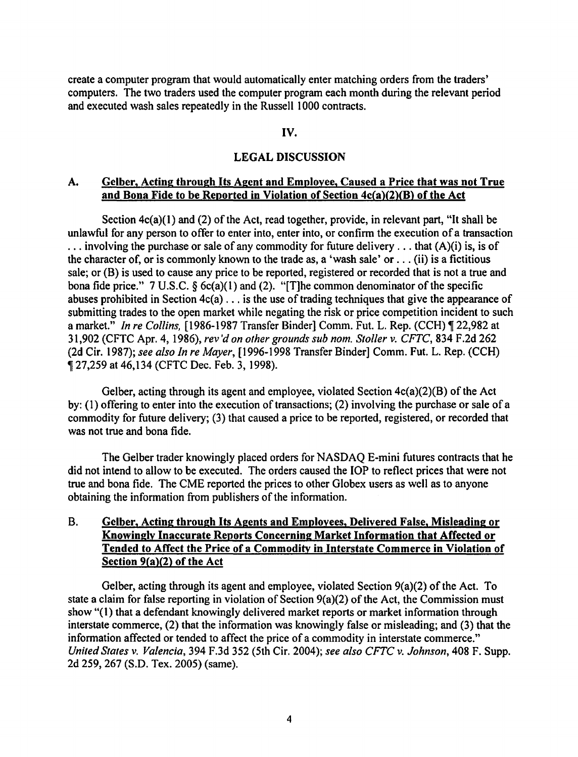create a computer program that would automatically enter matching orders from the traders' computers. The two traders used the computer program each month during the relevant period and executed wash sales repeatedly in the Russell 1000 contracts.

#### IV.

#### LEGAL DISCUSSION

#### A. Gelber, Acting through Its Agent and Employee, Caused a Price that was not True and Bona Fide to be Reported in Violation of Section 4c(a)(2)(8) of the Act

Section  $4c(a)(1)$  and (2) of the Act, read together, provide, in relevant part, "It shall be unlawful for any person to offer to enter into, enter into, or confirm the execution of a transaction ... involving the purchase or sale of any commodity for future delivery ... that (A)(i) is, is of the character of, or is commonly known to the trade as, a 'wash sale' or  $\dots$  (ii) is a fictitious sale; or (B) is used to cause any price to be reported, registered or recorded that is not a true and bona fide price." 7 U.S.C.  $\S$  6c(a)(1) and (2). "[T]he common denominator of the specific abuses prohibited in Section  $4c(a)$ ... is the use of trading techniques that give the appearance of submitting trades to the open market while negating the risk or price competition incident to such a market." *In re Collins*, [1986-1987 Transfer Binder] Comm. Fut. L. Rep. (CCH) ¶ 22,982 at 31,902 (CFTC Apr. 4, 1986), *rev 'don other grounds sub nom. Stoller v. CFTC,* 834 F.2d 262 (2d Cir. 1987); *see also In re Mayer,* [ 1996-1998 Transfer Binder] Comm. Fut. L. Rep. (CCH) <sup>~</sup>27,259 at 46,134 (CFTC Dec. Feb. 3, 1998).

Gelber, acting through its agent and employee, violated Section  $4c(a)(2)(B)$  of the Act by: ( 1) offering to enter into the execution of transactions; (2) involving the purchase or sale of a commodity for future delivery; (3) that caused a price to be reported, registered, or recorded that was not true and bona fide.

The Gelber trader knowingly placed orders for NASDAQ E-mini futures contracts that he did not intend to allow to be executed. The orders caused the lOP to reflect prices that were not true and bona fide. The CME reported the prices to other Globex users as well as to anyone obtaining the information from publishers of the information.

## B. Gelber, Acting through Its Agents and Employees, Delivered False, Misleading or Knowingly Inaccurate Reports Concerning Market Information that Affected or Tended to Affect the Price of a Commodity in Interstate Commerce in Violation of Section 9(a)(2) of the Act

Gelber, acting through its agent and employee, violated Section 9(a)(2) of the Act. To state a claim for false reporting in violation of Section 9(a)(2) of the Act, the Commission must show "(1) that a defendant knowingly delivered market reports or market information through interstate commerce, (2) that the information was knowingly false or misleading; and (3) that the information affected or tended to affect the price of a commodity in interstate commerce." *United States v. Valencia,* 394 F.3d 352 (5th Cir. 2004); *see also CFTC v. Johnson,* 408 F. Supp. 2d 259, 267 (S.D. Tex. 2005) (same).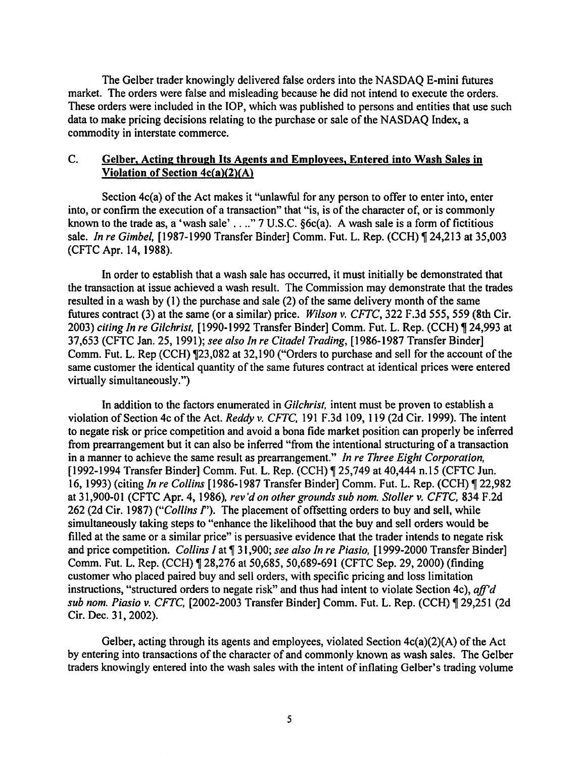The Gelber trader knowingly delivered false orders into the NASDAQ E-mini futures market. The orders were false and misleading because he did not intend to execute the orders. These orders were included in the lOP, which was published to persons and entities that use such data to make pricing decisions relating to the purchase or sale of the NASDAQ Index, a commodity in interstate commerce.

## C. Gelber, Acting through Its Agents and Employees, Entered into Wash Sales in Violation of Section 4c(a)(2)(A)

Section 4c(a) of the Act makes it "unlawful for any person to offer to enter into, enter into, or confirm the execution of a transaction" that "is, is of the character of, or is commonly known to the trade as, a 'wash sale' . . .." 7 U.S.C. §6c(a). A wash sale is a form of fictitious sale. *In re Gimbel*, [1987-1990 Transfer Binder] Comm. Fut. L. Rep. (CCH) ¶ 24,213 at 35,003 (CFTC Apr. 14, 1988).

In order to establish that a wash sale has occurred, it must initially be demonstrated that the transaction at issue achieved a wash result. The Commission may demonstrate that the trades resulted in a wash by (I) the purchase and sale (2) of the same delivery month of the same futures contract (3) at the same (or a similar) price. *Wilson v. CFTC,* 322 F.3d 555, 559 (8th Cir. 2003) *citing In re Gilchrist,* [1990-1992 Transfer Binder) Comm. Fut. L. Rep. (CCH) ~ 24,993 at 37,653 (CFTC Jan. 25, 1991); *see also In re Citadel Trading,* [1986-1987 Transfer Binder] Comm. Fut. L. Rep (CCH)  $\P$ 23,082 at 32,190 ("Orders to purchase and sell for the account of the same customer the identical quantity of the same futures contract at identical prices were entered virtually simultaneously.")

In addition to the factors enumerated in *Gilchrist,* intent must be proven to establish a violation of Section 4c ofthe Act. *Reddy v. CFTC,* 191 F.3d 109, 119 (2d Cir. 1999). The intent to negate risk or price competition and avoid a bona fide market position can properly be inferred from prearrangement but it can also be inferred "from the intentional structuring of a transaction in a manner to achieve the same result as prearrangement." *In re Three Eight Corporation,*  [1992-1994 Transfer Binder] Comm. Fut. L. Rep. (CCH) ¶ 25,749 at 40,444 n.15 (CFTC Jun. 16, 1993) (citing *In re Collins* [1986-1987 Transfer Binder] Comm. Fut. L. Rep. (CCH) ~ 22,982 at 31,900-0 I (CFTC Apr. 4, 1986), *rev 'don other grounds sub nom. Stoller v. CFTC,* 834 F .2d 262 (2d Cir. 1987) *("Collins* f'). The placement of offsetting orders to buy and sell, while simultaneously taking steps to "enhance the likelihood that the buy and sell orders would be filled at the same or a similar price" is persuasive evidence that the trader intends to negate risk and price competition. *Collins I* at ¶ 31,900; *see also In re Piasio*, [1999-2000 Transfer Binder] Comm. Fut. L. Rep. (CCH) ¶ 28,276 at 50,685, 50,689-691 (CFTC Sep. 29, 2000) (finding customer who placed paired buy and sell orders, with specific pricing and loss limitation instructions, "structured orders to negate risk" and thus had intent to violate Section 4c), *aff'd sub nom. Piasio v. CFTC,* [2002-2003 Transfer Binder] Comm. Fut. L. Rep. (CCH) ~ 29,251 (2d Cir. Dec. 31, 2002).

Gelber, acting through its agents and employees, violated Section 4c(a)(2)(A) of the Act by entering into transactions of the character of and commonly known as wash sales. The Gelber traders knowingly entered into the wash sales with the intent of inflating Gelber's trading volume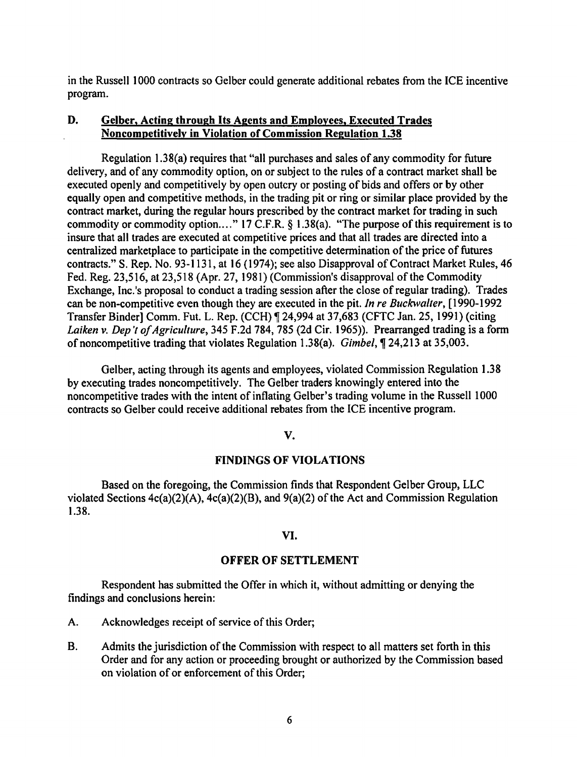in the Russell 1 000 contracts so Gelber could generate additional rebates from the ICE incentive program.

## D. Gelber, Acting through Its Agents and Employees, Executed Trades Noncompetitively in Violation of Commission Regulation 1.38

Regulation 1.38(a) requires that "all purchases and sales of any commodity for future delivery, and of any commodity option, on or subject to the rules of a contract market shall be executed openly and competitively by open outcry or posting of bids and offers or by other equally open and competitive methods, in the trading pit or ring or similar place provided by the contract market, during the regular hours prescribed by the contract market for trading in such commodity or commodity option...." 17 C.F.R.  $\&$  1.38(a). "The purpose of this requirement is to insure that all trades are executed at competitive prices and that all trades are directed into a centralized marketplace to participate in the competitive determination of the price of futures contracts." S. Rep. No. 93-1131, at 16 ( 1974); see also Disapproval of Contract Market Rules, 46 Fed. Reg. 23,516, at 23,518 (Apr. 27, 1981) (Commission's disapproval of the Commodity Exchange, Inc.'s proposal to conduct a trading session after the close of regular trading). Trades can be non-competitive even though they are executed in the pit. *In re Buckwalter,* [1990-1992 Transfer Binder] Comm. Fut. L. Rep. (CCH) ¶ 24,994 at 37,683 (CFTC Jan. 25, 1991) (citing *Laiken v. Dep 't of Agriculture,* 345 F.2d 784, 785 (2d Cir. 1965)). Prearranged trading is a form of noncompetitive trading that violates Regulation 1.38(a). Gimbel,~ 24,213 at 35,003.

Gelber, acting through its agents and employees, violated Commission Regulation 1.38 by executing trades noncompetitively. The Gelber traders knowingly entered into the noncompetitive trades with the intent of inflating Gelber's trading volume in the Russell 1000 contracts so Gelber could receive additional rebates from the ICE incentive program.

#### v.

#### FINDINGS OF VIOLATIONS

Based on the foregoing, the Commission finds that Respondent Gelber Group, LLC violated Sections 4c(a)(2)(A), 4c(a)(2)(B), and 9(a)(2) of the Act and Commission Regulation 1.38.

#### VI.

#### OFFER OF SETTLEMENT

Respondent has submitted the Offer in which it, without admitting or denying the findings and conclusions herein:

- A. Acknowledges receipt of service of this Order;
- B. Admits the jurisdiction of the Commission with respect to all matters set forth in this Order and for any action or proceeding brought or authorized by the Commission based on violation of or enforcement of this Order;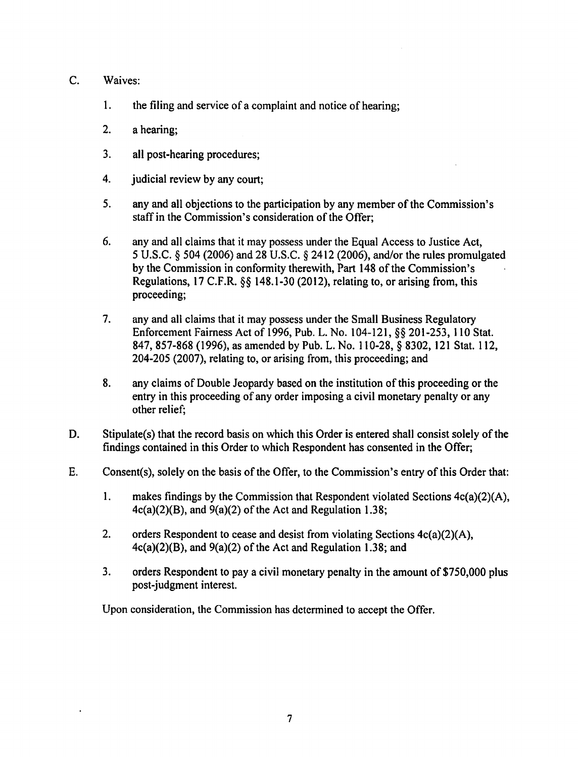## C. Waives:

- 1. the filing and service of a complaint and notice of hearing;
- 2. a hearing;
- 3. all post-hearing procedures;
- 4. judicial review by any court;
- 5. any and all objections to the participation by any member of the Commission's staff in the Commission's consideration of the Offer;
- 6. any and all claims that it may possess under the Equal Access to Justice Act, 5 U.S.C. § 504 (2006) and 28 U.S.C. § 2412 (2006), and/or the rules promulgated by the Commission in conformity therewith, Part 148 of the Commission's Regulations, 17 C.F.R. §§ 148.1-30 (2012), relating to, or arising from, this proceeding;
- 7. any and all claims that it may possess under the Small Business Regulatory Enforcement Fairness Act of 1996, Pub. L. No. 104-121, §§ 201-253, 110 Stat. 847, 857-868 (1996), as amended by Pub. L. No. 110-28, § 8302, 121 Stat. 112, 204-205 (2007), relating to, or arising from, this proceeding; and
- 8. any claims of Double Jeopardy based on the institution of this proceeding or the entry in this proceeding of any order imposing a civil monetary penalty or any other relief;
- D. Stipulate(s) that the record basis on which this Order is entered shall consist solely of the findings contained in this Order to which Respondent has consented in the Offer;
- E. Consent(s), solely on the basis of the Offer, to the Commission's entry of this Order that:
	- 1. makes findings by the Commission that Respondent violated Sections 4c(a)(2)(A),  $4c(a)(2)(B)$ , and  $9(a)(2)$  of the Act and Regulation 1.38;
	- 2. orders Respondent to cease and desist from violating Sections 4c(a)(2)(A), 4c(a)(2)(B), and 9(a)(2) of the Act and Regulation 1.38; and
	- 3. orders Respondent to pay a civil monetary penalty in the amount of \$750,000 plus post-judgment interest.

Upon consideration, the Commission has determined to accept the Offer.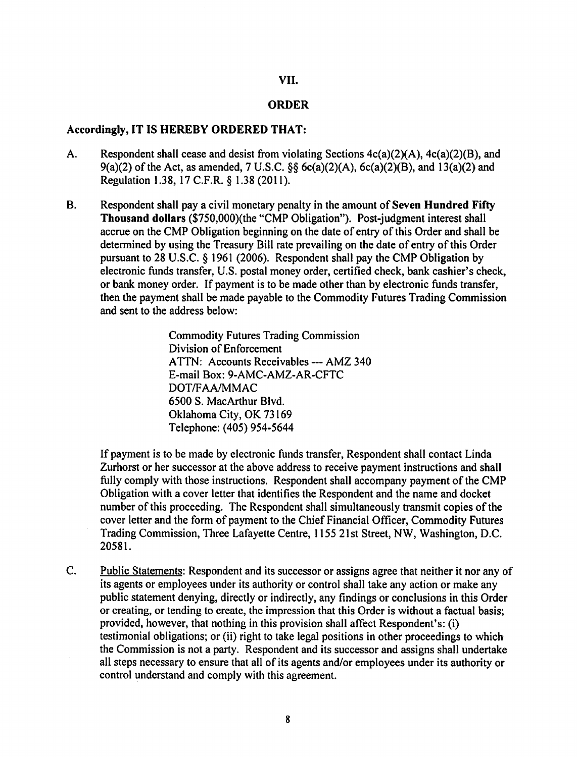#### VII.

#### ORDER

#### Accordingly, IT IS HEREBY ORDERED THAT:

- A. Respondent shall cease and desist from violating Sections  $4c(a)(2)(A)$ ,  $4c(a)(2)(B)$ , and 9(a)(2) of the Act, as amended, 7 U.S.C.  $\S$ § 6c(a)(2)(A), 6c(a)(2)(B), and 13(a)(2) and Regulation 1.38, 17 C.F.R. § 1.38 (2011).
- B. Respondent shall pay a civil monetary penalty in the amount of Seven Hundred Fifty Thousand dollars (\$750,000)(the "CMP Obligation"). Post-judgment interest shall accrue on the CMP Obligation beginning on the date of entry of this Order and shall be determined by using the Treasury Bill rate prevailing on the date of entry of this Order pursuant to 28 U.S.C. § 1961 (2006). Respondent shall pay the CMP Obligation by electronic funds transfer, U.S. postal money order, certified check, bank cashier's check, or bank money order. If payment is to be made other than by electronic funds transfer, then the payment shall be made payable to the Commodity Futures Trading Commission and sent to the address below:

Commodity Futures Trading Commission Division of Enforcement ATTN: Accounts Receivables --- AMZ 340 E-mail Box: 9-AMC-AMZ-AR-CFTC DOT/FAA/MMAC 6500 S. MacArthur Blvd. Oklahoma City, OK 73169 Telephone: (405) 954-5644

If payment is to be made by electronic funds transfer, Respondent shall contact Linda Zurhorst or her successor at the above address to receive payment instructions and shall fully comply with those instructions. Respondent shall accompany payment of the CMP Obligation with a cover letter that identifies the Respondent and the name and docket number of this proceeding. The Respondent shall simultaneously transmit copies of the cover letter and the form of payment to the Chief Financial Officer, Commodity Futures Trading Commission, Three Lafayette Centre, 1155 21st Street, NW, Washington, D.C. 20581.

C. Public Statements: Respondent and its successor or assigns agree that neither it nor any of its agents or employees under its authority or control shall take any action or make any public statement denying, directly or indirectly, any findings or conclusions in this Order or creating, or tending to create, the impression that this Order is without a factual basis; provided, however, that nothing in this provision shall affect Respondent's: (i) testimonial obligations; or (ii) right to take legal positions in other proceedings to which the Commission is not a party. Respondent and its successor and assigns shall undertake all steps necessary to ensure that all of its agents and/or employees under its authority or control understand and comply with this agreement.